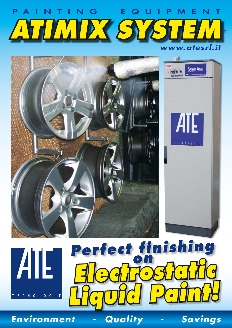# *www.atesrl.it* P A I N T I N G E Q U I P M E N T **ATIMIX SY**





**Perfect finishing** *Electrostatic Liquid Paint!*

*Environment - Quality - Savings*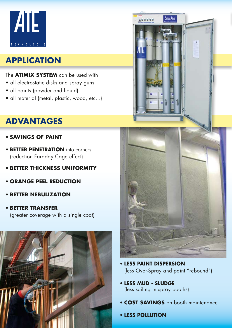

# **APPLICATION**

#### The **ATIMIX SYSTEM** can be used with

- all electrostatic disks and spray guns
- all paints (powder and liquid)
- all material (metal, plastic, wood, etc...)

# **ADVANTAGES**

- • **SAVINGS OF PAINT**
- **BETTER PENETRATION** into corners (reduction Faraday Cage effect)
- • **BETTER THICKNESS UNIFORMITY**
- • **ORANGE PEEL REDUCTION**
- • **BETTER NEBULIZATION**
- • **BETTER TRANSFER** (greater coverage with a single coat)





**SSTEAK ATM** 

- • **LESS PAINT DISPERSION**  (less Over-Spray and paint "rebound")
- • **LESS MUD SLUDGE**  (less soiling in spray booths)
- **COST SAVINGS** on booth maintenance
- • **LESS POLLUTION**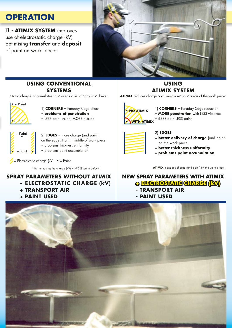## **OPERATION**

The **Atimix system** improves use of electrostatic charge (kV) optimising **transfer** and **deposit** of paint on work pieces



#### **USING CONVENTIONAL SYSTEMS**

Static charge accumulates in 2 areas due to "physics" laws:



on the edges than in middle of work piece = problems thickness uniformity

= problems paint accumulation

 $\blacktriangleright$  = Electrostatic charge (kV)  $\bullet$  = Paint

 $\bullet$  + Paint  $\bullet$ 

#### **SPRAY PARAMETERS WITHOUT ATIMIX**

- **ELECTROSTATIC CHARGE (kV)** 
	- **+ TRANSPORT AIR**
	- **+ PAINT USED**

#### **USING ATIMIX SYSTEM**

**ATIMIX** reduces charge "accumulations" in 2 areas of the work piece:



- 1) **CORNERS** = Faraday Cage reduction = **MORE penetration** with LESS violence
- = (LESS air / LESS paint)



2) **EDGES**

- = **better delivery of charge** (and paint) on the work piece
- = **better thickness uniformity**
- = **problems paint accumulation**

NB: increasing the charge (kV) = MORE paint defects!

#### **NEW SPRAY PARAMETERS WITH ATIMIX + ELECTROSTATIC CHARGE (kV)**

- **TRANSPORT AIR**
- **PAINT USED**